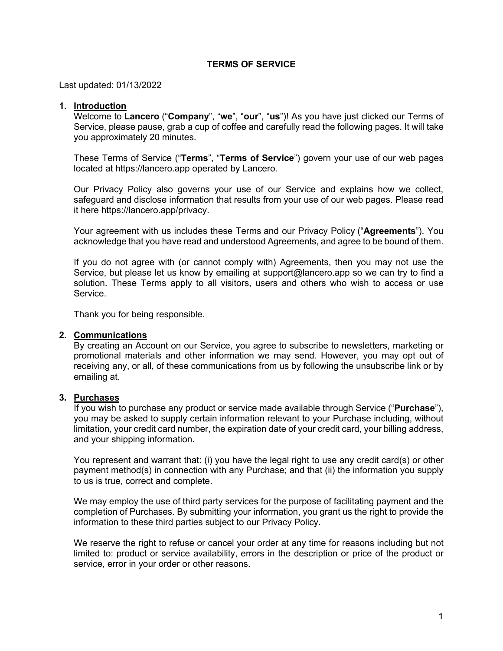## **TERMS OF SERVICE**

Last updated: 01/13/2022

### **1. Introduction**

Welcome to **Lancero** ("**Company**", "**we**", "**our**", "**us**")! As you have just clicked our Terms of Service, please pause, grab a cup of coffee and carefully read the following pages. It will take you approximately 20 minutes.

These Terms of Service ("**Terms**", "**Terms of Service**") govern your use of our web pages located at https://lancero.app operated by Lancero.

Our Privacy Policy also governs your use of our Service and explains how we collect, safeguard and disclose information that results from your use of our web pages. Please read it here https://lancero.app/privacy.

Your agreement with us includes these Terms and our Privacy Policy ("**Agreements**"). You acknowledge that you have read and understood Agreements, and agree to be bound of them.

If you do not agree with (or cannot comply with) Agreements, then you may not use the Service, but please let us know by emailing at support@lancero.app so we can try to find a solution. These Terms apply to all visitors, users and others who wish to access or use Service.

Thank you for being responsible.

## **2. Communications**

By creating an Account on our Service, you agree to subscribe to newsletters, marketing or promotional materials and other information we may send. However, you may opt out of receiving any, or all, of these communications from us by following the unsubscribe link or by emailing at.

### **3. Purchases**

If you wish to purchase any product or service made available through Service ("**Purchase**"), you may be asked to supply certain information relevant to your Purchase including, without limitation, your credit card number, the expiration date of your credit card, your billing address, and your shipping information.

You represent and warrant that: (i) you have the legal right to use any credit card(s) or other payment method(s) in connection with any Purchase; and that (ii) the information you supply to us is true, correct and complete.

We may employ the use of third party services for the purpose of facilitating payment and the completion of Purchases. By submitting your information, you grant us the right to provide the information to these third parties subject to our Privacy Policy.

We reserve the right to refuse or cancel your order at any time for reasons including but not limited to: product or service availability, errors in the description or price of the product or service, error in your order or other reasons.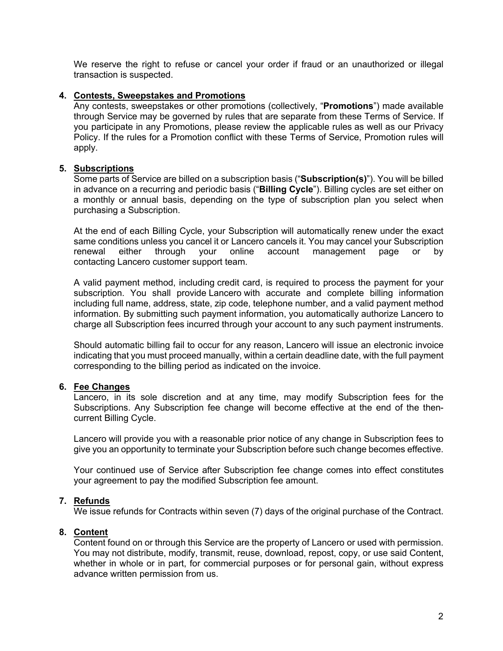We reserve the right to refuse or cancel your order if fraud or an unauthorized or illegal transaction is suspected.

## **4. Contests, Sweepstakes and Promotions**

Any contests, sweepstakes or other promotions (collectively, "**Promotions**") made available through Service may be governed by rules that are separate from these Terms of Service. If you participate in any Promotions, please review the applicable rules as well as our Privacy Policy. If the rules for a Promotion conflict with these Terms of Service, Promotion rules will apply.

## **5. Subscriptions**

Some parts of Service are billed on a subscription basis ("**Subscription(s)**"). You will be billed in advance on a recurring and periodic basis ("**Billing Cycle**"). Billing cycles are set either on a monthly or annual basis, depending on the type of subscription plan you select when purchasing a Subscription.

At the end of each Billing Cycle, your Subscription will automatically renew under the exact same conditions unless you cancel it or Lancero cancels it. You may cancel your Subscription renewal either through your online account management page or by contacting Lancero customer support team.

A valid payment method, including credit card, is required to process the payment for your subscription. You shall provide Lancero with accurate and complete billing information including full name, address, state, zip code, telephone number, and a valid payment method information. By submitting such payment information, you automatically authorize Lancero to charge all Subscription fees incurred through your account to any such payment instruments.

Should automatic billing fail to occur for any reason, Lancero will issue an electronic invoice indicating that you must proceed manually, within a certain deadline date, with the full payment corresponding to the billing period as indicated on the invoice.

# **6. Fee Changes**

Lancero, in its sole discretion and at any time, may modify Subscription fees for the Subscriptions. Any Subscription fee change will become effective at the end of the thencurrent Billing Cycle.

Lancero will provide you with a reasonable prior notice of any change in Subscription fees to give you an opportunity to terminate your Subscription before such change becomes effective.

Your continued use of Service after Subscription fee change comes into effect constitutes your agreement to pay the modified Subscription fee amount.

# **7. Refunds**

We issue refunds for Contracts within seven (7) days of the original purchase of the Contract.

# **8. Content**

Content found on or through this Service are the property of Lancero or used with permission. You may not distribute, modify, transmit, reuse, download, repost, copy, or use said Content, whether in whole or in part, for commercial purposes or for personal gain, without express advance written permission from us.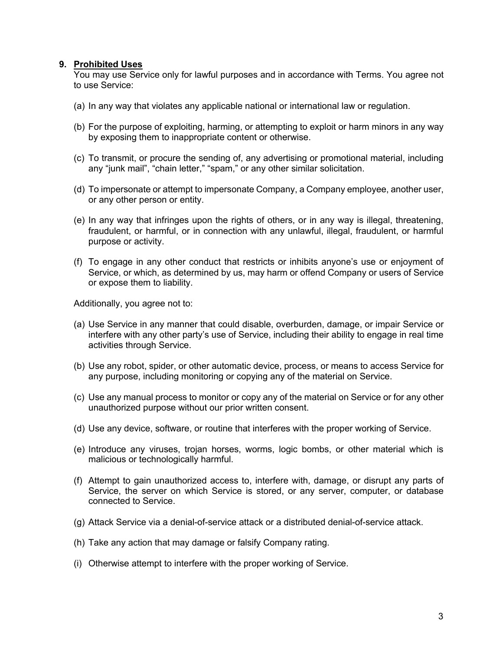## **9. Prohibited Uses**

You may use Service only for lawful purposes and in accordance with Terms. You agree not to use Service:

- (a) In any way that violates any applicable national or international law or regulation.
- (b) For the purpose of exploiting, harming, or attempting to exploit or harm minors in any way by exposing them to inappropriate content or otherwise.
- (c) To transmit, or procure the sending of, any advertising or promotional material, including any "junk mail", "chain letter," "spam," or any other similar solicitation.
- (d) To impersonate or attempt to impersonate Company, a Company employee, another user, or any other person or entity.
- (e) In any way that infringes upon the rights of others, or in any way is illegal, threatening, fraudulent, or harmful, or in connection with any unlawful, illegal, fraudulent, or harmful purpose or activity.
- (f) To engage in any other conduct that restricts or inhibits anyone's use or enjoyment of Service, or which, as determined by us, may harm or offend Company or users of Service or expose them to liability.

Additionally, you agree not to:

- (a) Use Service in any manner that could disable, overburden, damage, or impair Service or interfere with any other party's use of Service, including their ability to engage in real time activities through Service.
- (b) Use any robot, spider, or other automatic device, process, or means to access Service for any purpose, including monitoring or copying any of the material on Service.
- (c) Use any manual process to monitor or copy any of the material on Service or for any other unauthorized purpose without our prior written consent.
- (d) Use any device, software, or routine that interferes with the proper working of Service.
- (e) Introduce any viruses, trojan horses, worms, logic bombs, or other material which is malicious or technologically harmful.
- (f) Attempt to gain unauthorized access to, interfere with, damage, or disrupt any parts of Service, the server on which Service is stored, or any server, computer, or database connected to Service.
- (g) Attack Service via a denial-of-service attack or a distributed denial-of-service attack.
- (h) Take any action that may damage or falsify Company rating.
- (i) Otherwise attempt to interfere with the proper working of Service.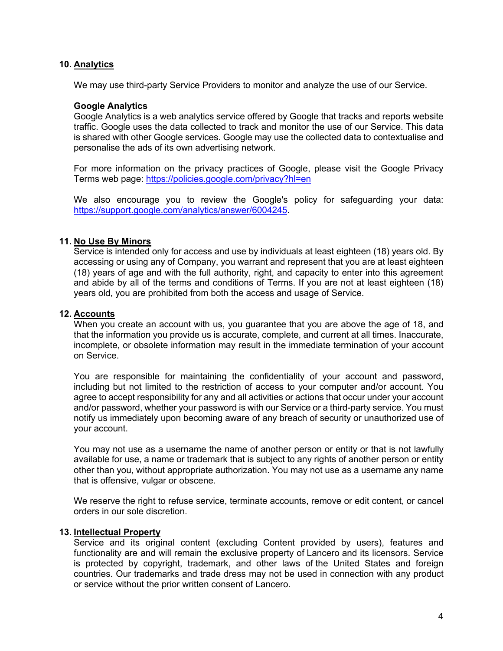## **10. Analytics**

We may use third-party Service Providers to monitor and analyze the use of our Service.

### **Google Analytics**

Google Analytics is a web analytics service offered by Google that tracks and reports website traffic. Google uses the data collected to track and monitor the use of our Service. This data is shared with other Google services. Google may use the collected data to contextualise and personalise the ads of its own advertising network.

For more information on the privacy practices of Google, please visit the Google Privacy Terms web page: https://policies.google.com/privacy?hl=en

We also encourage you to review the Google's policy for safeguarding your data: https://support.google.com/analytics/answer/6004245.

## **11. No Use By Minors**

Service is intended only for access and use by individuals at least eighteen (18) years old. By accessing or using any of Company, you warrant and represent that you are at least eighteen (18) years of age and with the full authority, right, and capacity to enter into this agreement and abide by all of the terms and conditions of Terms. If you are not at least eighteen (18) years old, you are prohibited from both the access and usage of Service.

### **12. Accounts**

When you create an account with us, you guarantee that you are above the age of 18, and that the information you provide us is accurate, complete, and current at all times. Inaccurate, incomplete, or obsolete information may result in the immediate termination of your account on Service.

You are responsible for maintaining the confidentiality of your account and password, including but not limited to the restriction of access to your computer and/or account. You agree to accept responsibility for any and all activities or actions that occur under your account and/or password, whether your password is with our Service or a third-party service. You must notify us immediately upon becoming aware of any breach of security or unauthorized use of your account.

You may not use as a username the name of another person or entity or that is not lawfully available for use, a name or trademark that is subject to any rights of another person or entity other than you, without appropriate authorization. You may not use as a username any name that is offensive, vulgar or obscene.

We reserve the right to refuse service, terminate accounts, remove or edit content, or cancel orders in our sole discretion.

### **13. Intellectual Property**

Service and its original content (excluding Content provided by users), features and functionality are and will remain the exclusive property of Lancero and its licensors. Service is protected by copyright, trademark, and other laws of the United States and foreign countries. Our trademarks and trade dress may not be used in connection with any product or service without the prior written consent of Lancero.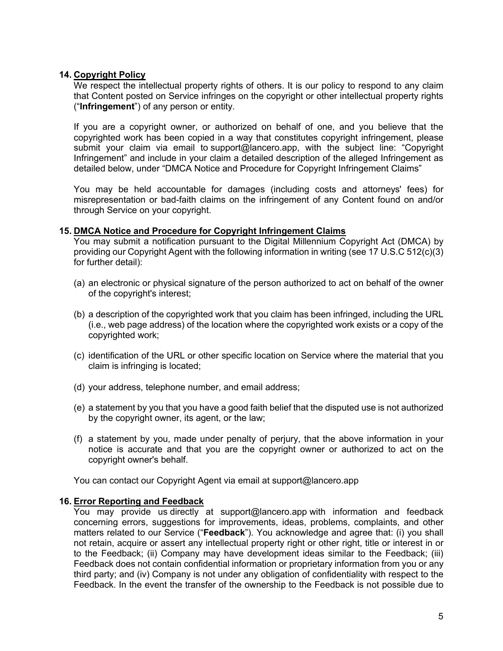# **14. Copyright Policy**

We respect the intellectual property rights of others. It is our policy to respond to any claim that Content posted on Service infringes on the copyright or other intellectual property rights ("**Infringement**") of any person or entity.

If you are a copyright owner, or authorized on behalf of one, and you believe that the copyrighted work has been copied in a way that constitutes copyright infringement, please submit your claim via email to support@lancero.app, with the subject line: "Copyright Infringement" and include in your claim a detailed description of the alleged Infringement as detailed below, under "DMCA Notice and Procedure for Copyright Infringement Claims"

You may be held accountable for damages (including costs and attorneys' fees) for misrepresentation or bad-faith claims on the infringement of any Content found on and/or through Service on your copyright.

## **15. DMCA Notice and Procedure for Copyright Infringement Claims**

You may submit a notification pursuant to the Digital Millennium Copyright Act (DMCA) by providing our Copyright Agent with the following information in writing (see 17 U.S.C 512(c)(3) for further detail):

- (a) an electronic or physical signature of the person authorized to act on behalf of the owner of the copyright's interest;
- (b) a description of the copyrighted work that you claim has been infringed, including the URL (i.e., web page address) of the location where the copyrighted work exists or a copy of the copyrighted work;
- (c) identification of the URL or other specific location on Service where the material that you claim is infringing is located;
- (d) your address, telephone number, and email address;
- (e) a statement by you that you have a good faith belief that the disputed use is not authorized by the copyright owner, its agent, or the law;
- (f) a statement by you, made under penalty of perjury, that the above information in your notice is accurate and that you are the copyright owner or authorized to act on the copyright owner's behalf.

You can contact our Copyright Agent via email at support@lancero.app

# **16. Error Reporting and Feedback**

You may provide us directly at support@lancero.app with information and feedback concerning errors, suggestions for improvements, ideas, problems, complaints, and other matters related to our Service ("**Feedback**"). You acknowledge and agree that: (i) you shall not retain, acquire or assert any intellectual property right or other right, title or interest in or to the Feedback; (ii) Company may have development ideas similar to the Feedback; (iii) Feedback does not contain confidential information or proprietary information from you or any third party; and (iv) Company is not under any obligation of confidentiality with respect to the Feedback. In the event the transfer of the ownership to the Feedback is not possible due to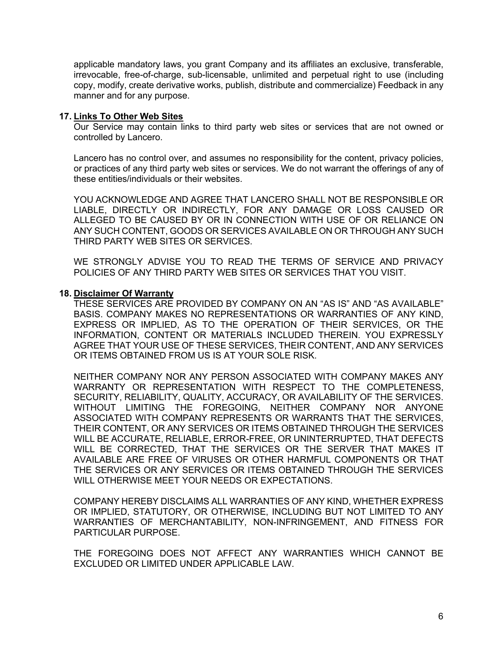applicable mandatory laws, you grant Company and its affiliates an exclusive, transferable, irrevocable, free-of-charge, sub-licensable, unlimited and perpetual right to use (including copy, modify, create derivative works, publish, distribute and commercialize) Feedback in any manner and for any purpose.

## **17. Links To Other Web Sites**

Our Service may contain links to third party web sites or services that are not owned or controlled by Lancero.

Lancero has no control over, and assumes no responsibility for the content, privacy policies, or practices of any third party web sites or services. We do not warrant the offerings of any of these entities/individuals or their websites.

YOU ACKNOWLEDGE AND AGREE THAT LANCERO SHALL NOT BE RESPONSIBLE OR LIABLE, DIRECTLY OR INDIRECTLY, FOR ANY DAMAGE OR LOSS CAUSED OR ALLEGED TO BE CAUSED BY OR IN CONNECTION WITH USE OF OR RELIANCE ON ANY SUCH CONTENT, GOODS OR SERVICES AVAILABLE ON OR THROUGH ANY SUCH THIRD PARTY WEB SITES OR SERVICES.

WE STRONGLY ADVISE YOU TO READ THE TERMS OF SERVICE AND PRIVACY POLICIES OF ANY THIRD PARTY WEB SITES OR SERVICES THAT YOU VISIT.

## **18. Disclaimer Of Warranty**

THESE SERVICES ARE PROVIDED BY COMPANY ON AN "AS IS" AND "AS AVAILABLE" BASIS. COMPANY MAKES NO REPRESENTATIONS OR WARRANTIES OF ANY KIND, EXPRESS OR IMPLIED, AS TO THE OPERATION OF THEIR SERVICES, OR THE INFORMATION, CONTENT OR MATERIALS INCLUDED THEREIN. YOU EXPRESSLY AGREE THAT YOUR USE OF THESE SERVICES, THEIR CONTENT, AND ANY SERVICES OR ITEMS OBTAINED FROM US IS AT YOUR SOLE RISK.

NEITHER COMPANY NOR ANY PERSON ASSOCIATED WITH COMPANY MAKES ANY WARRANTY OR REPRESENTATION WITH RESPECT TO THE COMPLETENESS, SECURITY, RELIABILITY, QUALITY, ACCURACY, OR AVAILABILITY OF THE SERVICES. WITHOUT LIMITING THE FOREGOING, NEITHER COMPANY NOR ANYONE ASSOCIATED WITH COMPANY REPRESENTS OR WARRANTS THAT THE SERVICES, THEIR CONTENT, OR ANY SERVICES OR ITEMS OBTAINED THROUGH THE SERVICES WILL BE ACCURATE, RELIABLE, ERROR-FREE, OR UNINTERRUPTED, THAT DEFECTS WILL BE CORRECTED, THAT THE SERVICES OR THE SERVER THAT MAKES IT AVAILABLE ARE FREE OF VIRUSES OR OTHER HARMFUL COMPONENTS OR THAT THE SERVICES OR ANY SERVICES OR ITEMS OBTAINED THROUGH THE SERVICES WILL OTHERWISE MEET YOUR NEEDS OR EXPECTATIONS.

COMPANY HEREBY DISCLAIMS ALL WARRANTIES OF ANY KIND, WHETHER EXPRESS OR IMPLIED, STATUTORY, OR OTHERWISE, INCLUDING BUT NOT LIMITED TO ANY WARRANTIES OF MERCHANTABILITY, NON-INFRINGEMENT, AND FITNESS FOR PARTICULAR PURPOSE.

THE FOREGOING DOES NOT AFFECT ANY WARRANTIES WHICH CANNOT BE EXCLUDED OR LIMITED UNDER APPLICABLE LAW.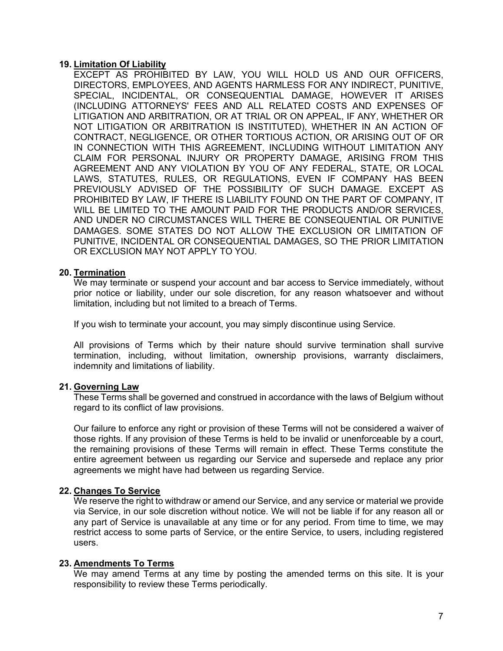### **19. Limitation Of Liability**

EXCEPT AS PROHIBITED BY LAW, YOU WILL HOLD US AND OUR OFFICERS, DIRECTORS, EMPLOYEES, AND AGENTS HARMLESS FOR ANY INDIRECT, PUNITIVE, SPECIAL, INCIDENTAL, OR CONSEQUENTIAL DAMAGE, HOWEVER IT ARISES (INCLUDING ATTORNEYS' FEES AND ALL RELATED COSTS AND EXPENSES OF LITIGATION AND ARBITRATION, OR AT TRIAL OR ON APPEAL, IF ANY, WHETHER OR NOT LITIGATION OR ARBITRATION IS INSTITUTED), WHETHER IN AN ACTION OF CONTRACT, NEGLIGENCE, OR OTHER TORTIOUS ACTION, OR ARISING OUT OF OR IN CONNECTION WITH THIS AGREEMENT, INCLUDING WITHOUT LIMITATION ANY CLAIM FOR PERSONAL INJURY OR PROPERTY DAMAGE, ARISING FROM THIS AGREEMENT AND ANY VIOLATION BY YOU OF ANY FEDERAL, STATE, OR LOCAL LAWS, STATUTES, RULES, OR REGULATIONS, EVEN IF COMPANY HAS BEEN PREVIOUSLY ADVISED OF THE POSSIBILITY OF SUCH DAMAGE. EXCEPT AS PROHIBITED BY LAW, IF THERE IS LIABILITY FOUND ON THE PART OF COMPANY, IT WILL BE LIMITED TO THE AMOUNT PAID FOR THE PRODUCTS AND/OR SERVICES, AND UNDER NO CIRCUMSTANCES WILL THERE BE CONSEQUENTIAL OR PUNITIVE DAMAGES. SOME STATES DO NOT ALLOW THE EXCLUSION OR LIMITATION OF PUNITIVE, INCIDENTAL OR CONSEQUENTIAL DAMAGES, SO THE PRIOR LIMITATION OR EXCLUSION MAY NOT APPLY TO YOU.

## **20. Termination**

We may terminate or suspend your account and bar access to Service immediately, without prior notice or liability, under our sole discretion, for any reason whatsoever and without limitation, including but not limited to a breach of Terms.

If you wish to terminate your account, you may simply discontinue using Service.

All provisions of Terms which by their nature should survive termination shall survive termination, including, without limitation, ownership provisions, warranty disclaimers, indemnity and limitations of liability.

### **21. Governing Law**

These Terms shall be governed and construed in accordance with the laws of Belgium without regard to its conflict of law provisions.

Our failure to enforce any right or provision of these Terms will not be considered a waiver of those rights. If any provision of these Terms is held to be invalid or unenforceable by a court, the remaining provisions of these Terms will remain in effect. These Terms constitute the entire agreement between us regarding our Service and supersede and replace any prior agreements we might have had between us regarding Service.

# **22. Changes To Service**

We reserve the right to withdraw or amend our Service, and any service or material we provide via Service, in our sole discretion without notice. We will not be liable if for any reason all or any part of Service is unavailable at any time or for any period. From time to time, we may restrict access to some parts of Service, or the entire Service, to users, including registered users.

### **23. Amendments To Terms**

We may amend Terms at any time by posting the amended terms on this site. It is your responsibility to review these Terms periodically.